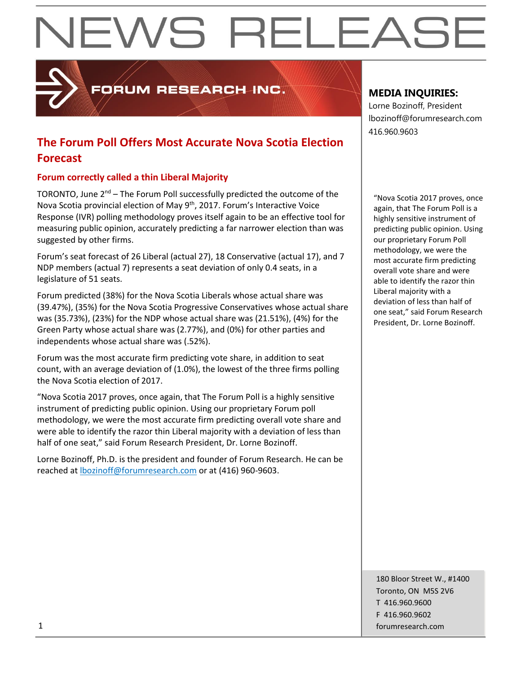# **NEWS RELEASE**

FORUM RESEARCH INC.

### **The Forum Poll Offers Most Accurate Nova Scotia Election Forecast**

#### **Forum correctly called a thin Liberal Majority**

TORONTO, June  $2<sup>nd</sup>$  – The Forum Poll successfully predicted the outcome of the Nova Scotia provincial election of May 9<sup>th</sup>, 2017. Forum's Interactive Voice Response (IVR) polling methodology proves itself again to be an effective tool for measuring public opinion, accurately predicting a far narrower election than was suggested by other firms.

Forum's seat forecast of 26 Liberal (actual 27), 18 Conservative (actual 17), and 7 NDP members (actual 7) represents a seat deviation of only 0.4 seats, in a legislature of 51 seats.

Forum predicted (38%) for the Nova Scotia Liberals whose actual share was (39.47%), (35%) for the Nova Scotia Progressive Conservatives whose actual share was (35.73%), (23%) for the NDP whose actual share was (21.51%), (4%) for the Green Party whose actual share was (2.77%), and (0%) for other parties and independents whose actual share was (.52%).

Forum was the most accurate firm predicting vote share, in addition to seat count, with an average deviation of (1.0%), the lowest of the three firms polling the Nova Scotia election of 2017.

"Nova Scotia 2017 proves, once again, that The Forum Poll is a highly sensitive instrument of predicting public opinion. Using our proprietary Forum poll methodology, we were the most accurate firm predicting overall vote share and were able to identify the razor thin Liberal majority with a deviation of less than half of one seat," said Forum Research President, Dr. Lorne Bozinoff.

Lorne Bozinoff, Ph.D. is the president and founder of Forum Research. He can be reached at [lbozinoff@forumresearch.com](mailto:lbozinoff@forumresearch.com) or at (416) 960-9603.

#### **MEDIA INQUIRIES:**

Lorne Bozinoff, President lbozinoff@forumresearch.com 416.960.9603

"Nova Scotia 2017 proves, once again, that The Forum Poll is a highly sensitive instrument of predicting public opinion. Using our proprietary Forum Poll methodology, we were the most accurate firm predicting overall vote share and were able to identify the razor thin Liberal majority with a deviation of less than half of one seat," said Forum Research President, Dr. Lorne Bozinoff.

180 Bloor Street W., #1400 Toronto, ON M5S 2V6 T 416.960.9600 F 416.960.9602 1 forumresearch.com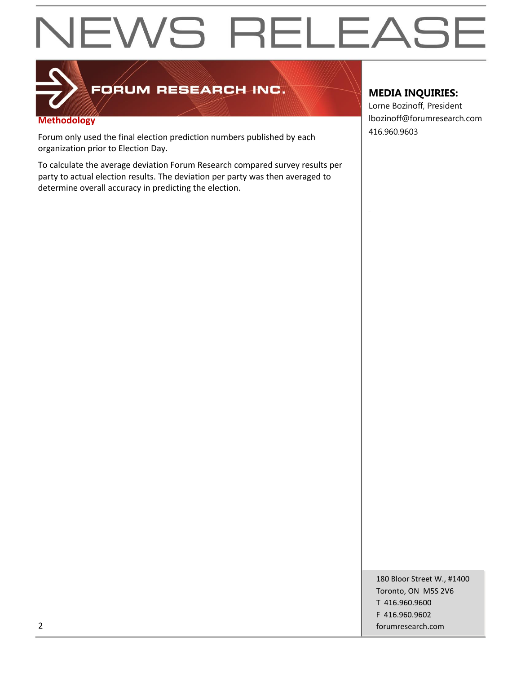## **NEWS RELEASE**



### FORUM RESEARCH-INC.

#### **Methodology**

Forum only used the final election prediction numbers published by each organization prior to Election Day.

To calculate the average deviation Forum Research compared survey results per party to actual election results. The deviation per party was then averaged to determine overall accuracy in predicting the election.

#### **MEDIA INQUIRIES:**

Lorne Bozinoff, President lbozinoff@forumresearch.com 416.960.9603

180 Bloor Street W., #1400 Toronto, ON M5S 2V6 T 416.960.9600 F 416.960.9602 2 forumresearch.com